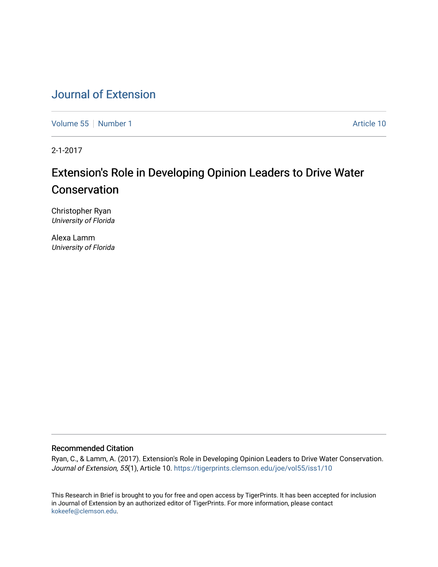# [Journal of Extension](https://tigerprints.clemson.edu/joe)

[Volume 55](https://tigerprints.clemson.edu/joe/vol55) [Number 1](https://tigerprints.clemson.edu/joe/vol55/iss1) Article 10

2-1-2017

# Extension's Role in Developing Opinion Leaders to Drive Water Conservation

Christopher Ryan University of Florida

Alexa Lamm University of Florida

#### Recommended Citation

Ryan, C., & Lamm, A. (2017). Extension's Role in Developing Opinion Leaders to Drive Water Conservation. Journal of Extension, 55(1), Article 10. https://tigerprints.clemson.edu/joe/vol55/iss1/10

This Research in Brief is brought to you for free and open access by TigerPrints. It has been accepted for inclusion in Journal of Extension by an authorized editor of TigerPrints. For more information, please contact [kokeefe@clemson.edu](mailto:kokeefe@clemson.edu).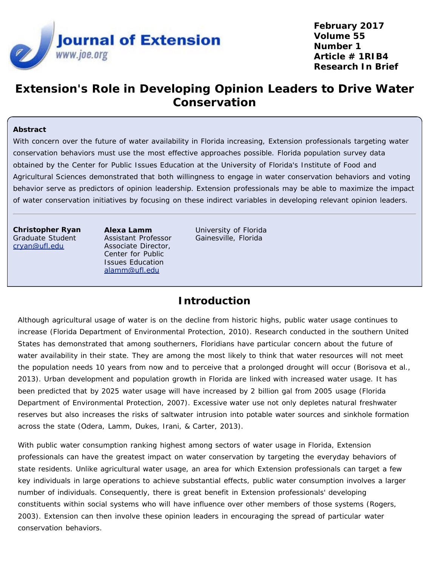

**February 2017 Volume 55 Number 1 Article # 1RIB4 Research In Brief**

# **Extension's Role in Developing Opinion Leaders to Drive Water Conservation**

#### **Abstract**

With concern over the future of water availability in Florida increasing, Extension professionals targeting water conservation behaviors must use the most effective approaches possible. Florida population survey data obtained by the Center for Public Issues Education at the University of Florida's Institute of Food and Agricultural Sciences demonstrated that both willingness to engage in water conservation behaviors and voting behavior serve as predictors of opinion leadership. Extension professionals may be able to maximize the impact of water conservation initiatives by focusing on these indirect variables in developing relevant opinion leaders.

**Christopher Ryan** Graduate Student [cryan@ufl.edu](mailto:cryan@ufl.edu)

**Alexa Lamm** Assistant Professor Associate Director, Center for Public Issues Education [alamm@ufl.edu](mailto:alamm@ufl.edu)

University of Florida Gainesville, Florida

## **Introduction**

Although agricultural usage of water is on the decline from historic highs, public water usage continues to increase (Florida Department of Environmental Protection, 2010). Research conducted in the southern United States has demonstrated that among southerners, Floridians have particular concern about the future of water availability in their state. They are among the most likely to think that water resources will not meet the population needs 10 years from now and to perceive that a prolonged drought will occur (Borisova et al., 2013). Urban development and population growth in Florida are linked with increased water usage. It has been predicted that by 2025 water usage will have increased by 2 billion gal from 2005 usage (Florida Department of Environmental Protection, 2007). Excessive water use not only depletes natural freshwater reserves but also increases the risks of saltwater intrusion into potable water sources and sinkhole formation across the state (Odera, Lamm, Dukes, Irani, & Carter, 2013).

With public water consumption ranking highest among sectors of water usage in Florida, Extension professionals can have the greatest impact on water conservation by targeting the everyday behaviors of state residents. Unlike agricultural water usage, an area for which Extension professionals can target a few key individuals in large operations to achieve substantial effects, public water consumption involves a larger number of individuals. Consequently, there is great benefit in Extension professionals' developing constituents within social systems who will have influence over other members of those systems (Rogers, 2003). Extension can then involve these opinion leaders in encouraging the spread of particular water conservation behaviors.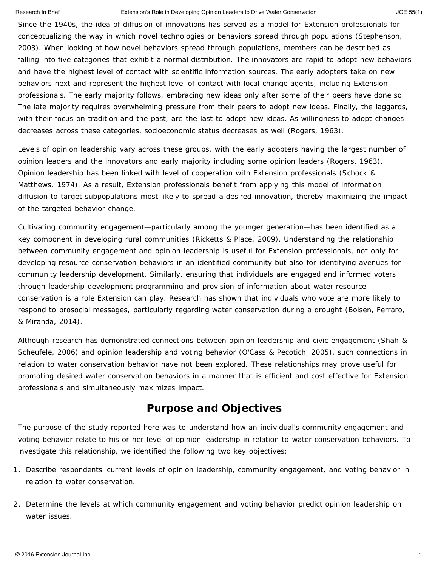#### Research In Brief **Extension's Role in Developing Opinion Leaders to Drive Water Conservation** JOE 55(1) JOE 55(1)

Since the 1940s, the idea of diffusion of innovations has served as a model for Extension professionals for conceptualizing the way in which novel technologies or behaviors spread through populations (Stephenson, 2003). When looking at how novel behaviors spread through populations, members can be described as falling into five categories that exhibit a normal distribution. The innovators are rapid to adopt new behaviors and have the highest level of contact with scientific information sources. The early adopters take on new behaviors next and represent the highest level of contact with local change agents, including Extension professionals. The early majority follows, embracing new ideas only after some of their peers have done so. The late majority requires overwhelming pressure from their peers to adopt new ideas. Finally, the laggards, with their focus on tradition and the past, are the last to adopt new ideas. As willingness to adopt changes decreases across these categories, socioeconomic status decreases as well (Rogers, 1963).

Levels of opinion leadership vary across these groups, with the early adopters having the largest number of opinion leaders and the innovators and early majority including some opinion leaders (Rogers, 1963). Opinion leadership has been linked with level of cooperation with Extension professionals (Schock & Matthews, 1974). As a result, Extension professionals benefit from applying this model of information diffusion to target subpopulations most likely to spread a desired innovation, thereby maximizing the impact of the targeted behavior change.

Cultivating community engagement—particularly among the younger generation—has been identified as a key component in developing rural communities (Ricketts & Place, 2009). Understanding the relationship between community engagement and opinion leadership is useful for Extension professionals, not only for developing resource conservation behaviors in an identified community but also for identifying avenues for community leadership development. Similarly, ensuring that individuals are engaged and informed voters through leadership development programming and provision of information about water resource conservation is a role Extension can play. Research has shown that individuals who vote are more likely to respond to prosocial messages, particularly regarding water conservation during a drought (Bolsen, Ferraro, & Miranda, 2014).

Although research has demonstrated connections between opinion leadership and civic engagement (Shah & Scheufele, 2006) and opinion leadership and voting behavior (O'Cass & Pecotich, 2005), such connections in relation to water conservation behavior have not been explored. These relationships may prove useful for promoting desired water conservation behaviors in a manner that is efficient and cost effective for Extension professionals and simultaneously maximizes impact.

## **Purpose and Objectives**

The purpose of the study reported here was to understand how an individual's community engagement and voting behavior relate to his or her level of opinion leadership in relation to water conservation behaviors. To investigate this relationship, we identified the following two key objectives:

- 1. Describe respondents' current levels of opinion leadership, community engagement, and voting behavior in relation to water conservation.
- 2. Determine the levels at which community engagement and voting behavior predict opinion leadership on water issues.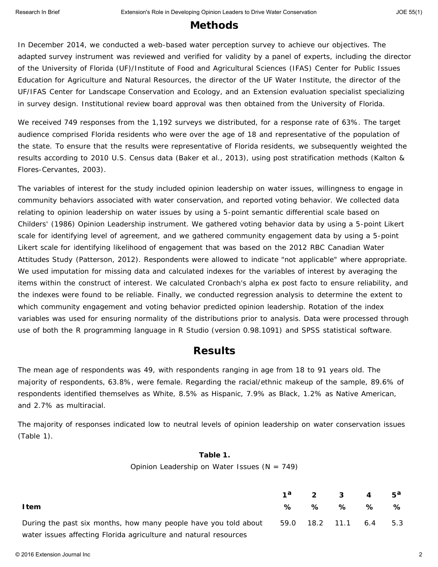## **Methods**

In December 2014, we conducted a web-based water perception survey to achieve our objectives. The adapted survey instrument was reviewed and verified for validity by a panel of experts, including the director of the University of Florida (UF)/Institute of Food and Agricultural Sciences (IFAS) Center for Public Issues Education for Agriculture and Natural Resources, the director of the UF Water Institute, the director of the UF/IFAS Center for Landscape Conservation and Ecology, and an Extension evaluation specialist specializing in survey design. Institutional review board approval was then obtained from the University of Florida.

We received 749 responses from the 1,192 surveys we distributed, for a response rate of 63%. The target audience comprised Florida residents who were over the age of 18 and representative of the population of the state. To ensure that the results were representative of Florida residents, we subsequently weighted the results according to 2010 U.S. Census data (Baker et al., 2013), using post stratification methods (Kalton & Flores-Cervantes, 2003).

The variables of interest for the study included opinion leadership on water issues, willingness to engage in community behaviors associated with water conservation, and reported voting behavior. We collected data relating to opinion leadership on water issues by using a 5-point semantic differential scale based on Childers' (1986) Opinion Leadership instrument. We gathered voting behavior data by using a 5-point Likert scale for identifying level of agreement, and we gathered community engagement data by using a 5-point Likert scale for identifying likelihood of engagement that was based on the 2012 RBC Canadian Water Attitudes Study (Patterson, 2012). Respondents were allowed to indicate "not applicable" where appropriate. We used imputation for missing data and calculated indexes for the variables of interest by averaging the items within the construct of interest. We calculated Cronbach's alpha ex post facto to ensure reliability, and the indexes were found to be reliable. Finally, we conducted regression analysis to determine the extent to which community engagement and voting behavior predicted opinion leadership. Rotation of the index variables was used for ensuring normality of the distributions prior to analysis. Data were processed through use of both the R programming language in R Studio (version 0.98.1091) and SPSS statistical software.

## **Results**

The mean age of respondents was 49, with respondents ranging in age from 18 to 91 years old. The majority of respondents, 63.8%, were female. Regarding the racial/ethnic makeup of the sample, 89.6% of respondents identified themselves as White, 8.5% as Hispanic, 7.9% as Black, 1.2% as Native American, and 2.7% as multiracial.

The majority of responses indicated low to neutral levels of opinion leadership on water conservation issues (Table 1).

#### **Table 1.**

Opinion Leadership on Water Issues (*N* = 749)

|                                                                  |   |   | $1^d$ 2 3 4            |   | $5^a$ |
|------------------------------------------------------------------|---|---|------------------------|---|-------|
| I tem                                                            | ℅ | % | ℅                      | ℅ | ℅     |
| During the past six months, how many people have you told about  |   |   | 59.0 18.2 11.1 6.4 5.3 |   |       |
| water issues affecting Florida agriculture and natural resources |   |   |                        |   |       |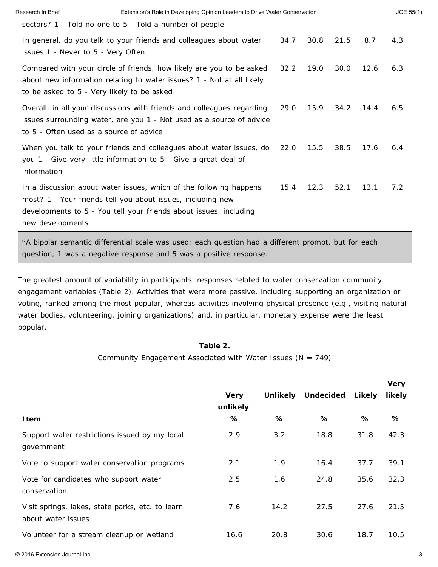| Research In Brief                          | Extension's Role in Developing Opinion Leaders to Drive Water Conservation                                                                                                                             |      |      |      |      | JOE 55(1) |
|--------------------------------------------|--------------------------------------------------------------------------------------------------------------------------------------------------------------------------------------------------------|------|------|------|------|-----------|
|                                            | sectors? 1 - Told no one to 5 - Told a number of people                                                                                                                                                |      |      |      |      |           |
| issues 1 - Never to 5 - Very Often         | In general, do you talk to your friends and colleagues about water                                                                                                                                     | 34.7 | 30.8 | 21.5 | 8.7  | 4.3       |
| to be asked to 5 - Very likely to be asked | Compared with your circle of friends, how likely are you to be asked<br>about new information relating to water issues? 1 - Not at all likely                                                          | 32.2 | 19.0 | 30.0 | 12.6 | 6.3       |
| to 5 - Often used as a source of advice    | Overall, in all your discussions with friends and colleagues regarding<br>issues surrounding water, are you 1 - Not used as a source of advice                                                         | 29.0 | 15.9 | 34.2 | 14.4 | 6.5       |
| information                                | When you talk to your friends and colleagues about water issues, do<br>you 1 - Give very little information to 5 - Give a great deal of                                                                | 22.0 | 15.5 | 38.5 | 17.6 | 6.4       |
| new developments                           | In a discussion about water issues, which of the following happens<br>most? 1 - Your friends tell you about issues, including new<br>developments to 5 - You tell your friends about issues, including | 15.4 | 12.3 | 52.1 | 13.1 | 7.2       |

aA bipolar semantic differential scale was used; each question had a different prompt, but for each question, 1 was a negative response and 5 was a positive response.

The greatest amount of variability in participants' responses related to water conservation community engagement variables (Table 2). Activities that were more passive, including supporting an organization or voting, ranked among the most popular, whereas activities involving physical presence (e.g., visiting natural water bodies, volunteering, joining organizations) and, in particular, monetary expense were the least popular.

### **Table 2.**

Community Engagement Associated with Water Issues (*N* = 749)

|                         |      |      |                    | <b>VCIY</b> |
|-------------------------|------|------|--------------------|-------------|
| <b>Very</b><br>unlikely |      |      | Likely             | likely      |
| ℅                       | %    | %    | %                  | ℅           |
| 2.9                     | 3.2  | 18.8 | 31.8               | 42.3        |
| 2.1                     | 1.9  | 16.4 | 37.7               | 39.1        |
| 2.5                     | 1.6  | 24.8 | 35.6               | 32.3        |
| 7.6                     | 14.2 | 27.5 | 27.6               | 21.5        |
| 16.6                    | 20.8 | 30.6 | 18.7               | 10.5        |
|                         |      |      | Unlikely Undecided |             |

**Very**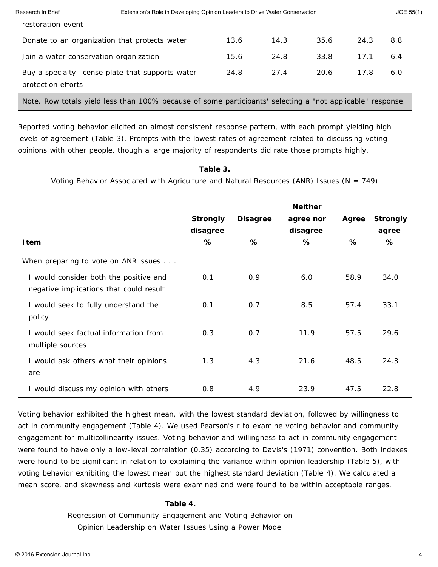| Research In Brief                      | Extension's Role in Developing Opinion Leaders to Drive Water Conservation                                 |      |      |      |      | JOE 55(1) |  |
|----------------------------------------|------------------------------------------------------------------------------------------------------------|------|------|------|------|-----------|--|
| restoration event                      |                                                                                                            |      |      |      |      |           |  |
|                                        | Donate to an organization that protects water                                                              | 13.6 | 14.3 | 35.6 | 24.3 | 8.8       |  |
| Join a water conservation organization |                                                                                                            | 15.6 | 24.8 | 33.8 | 17.1 | 6.4       |  |
| protection efforts                     | Buy a specialty license plate that supports water                                                          | 24.8 | 27.4 | 20.6 | 17.8 | 6.0       |  |
|                                        | Note. Row totals yield less than 100% because of some participants' selecting a "not applicable" response. |      |      |      |      |           |  |

Reported voting behavior elicited an almost consistent response pattern, with each prompt yielding high levels of agreement (Table 3). Prompts with the lowest rates of agreement related to discussing voting opinions with other people, though a large majority of respondents did rate those prompts highly.

### **Table 3.**

Voting Behavior Associated with Agriculture and Natural Resources (ANR) Issues (*N* = 749)

|                                                                                   |                 |                 | <b>Neither</b> |       |                 |
|-----------------------------------------------------------------------------------|-----------------|-----------------|----------------|-------|-----------------|
|                                                                                   | <b>Strongly</b> | <b>Disagree</b> | agree nor      | Agree | <b>Strongly</b> |
|                                                                                   | disagree        |                 | disagree       |       | agree           |
| <b>Item</b>                                                                       | %               | %               | ℅              | %     | %               |
| When preparing to vote on ANR issues                                              |                 |                 |                |       |                 |
| I would consider both the positive and<br>negative implications that could result | 0.1             | 0.9             | 6.0            | 58.9  | 34.0            |
| I would seek to fully understand the<br>policy                                    | 0.1             | 0.7             | 8.5            | 57.4  | 33.1            |
| I would seek factual information from<br>multiple sources                         | 0.3             | 0.7             | 11.9           | 57.5  | 29.6            |
| I would ask others what their opinions<br>are                                     | 1.3             | 4.3             | 21.6           | 48.5  | 24.3            |
| I would discuss my opinion with others                                            | 0.8             | 4.9             | 23.9           | 47.5  | 22.8            |

Voting behavior exhibited the highest mean, with the lowest standard deviation, followed by willingness to act in community engagement (Table 4). We used Pearson's *r* to examine voting behavior and community engagement for multicollinearity issues. Voting behavior and willingness to act in community engagement were found to have only a low-level correlation (0.35) according to Davis's (1971) convention. Both indexes were found to be significant in relation to explaining the variance within opinion leadership (Table 5), with voting behavior exhibiting the lowest mean but the highest standard deviation (Table 4). We calculated a mean score, and skewness and kurtosis were examined and were found to be within acceptable ranges.

### **Table 4.**

Regression of Community Engagement and Voting Behavior on Opinion Leadership on Water Issues Using a Power Model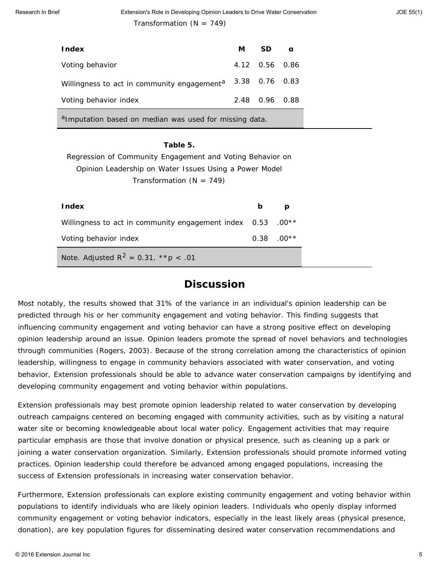| <b>Index</b>                                                       | м              | SD.            | a |
|--------------------------------------------------------------------|----------------|----------------|---|
| Voting behavior                                                    |                | 4.12 0.56 0.86 |   |
| Willingness to act in community engagement <sup>a</sup>            | 3.38 0.76 0.83 |                |   |
| Voting behavior index                                              |                | 2.48 0.96 0.88 |   |
| <sup>a</sup> Imputation based on median was used for missing data. |                |                |   |

## **Table 5.** Regression of Community Engagement and Voting Behavior on Opinion Leadership on Water Issues Using a Power Model Transformation (*N* = 749)

| <b>Index</b>                                                | b | D            |
|-------------------------------------------------------------|---|--------------|
| Willingness to act in community engagement index 0.53 .00** |   |              |
| Voting behavior index                                       |   | $0.38$ .00** |
| <i>Note.</i> Adjusted $R^2 = 0.31$ . ** $p < .01$           |   |              |

## **Discussion**

Most notably, the results showed that 31% of the variance in an individual's opinion leadership can be predicted through his or her community engagement and voting behavior. This finding suggests that influencing community engagement and voting behavior can have a strong positive effect on developing opinion leadership around an issue. Opinion leaders promote the spread of novel behaviors and technologies through communities (Rogers, 2003). Because of the strong correlation among the characteristics of opinion leadership, willingness to engage in community behaviors associated with water conservation, and voting behavior, Extension professionals should be able to advance water conservation campaigns by identifying and developing community engagement and voting behavior within populations.

Extension professionals may best promote opinion leadership related to water conservation by developing outreach campaigns centered on becoming engaged with community activities, such as by visiting a natural water site or becoming knowledgeable about local water policy. Engagement activities that may require particular emphasis are those that involve donation or physical presence, such as cleaning up a park or joining a water conservation organization. Similarly, Extension professionals should promote informed voting practices. Opinion leadership could therefore be advanced among engaged populations, increasing the success of Extension professionals in increasing water conservation behavior.

Furthermore, Extension professionals can explore existing community engagement and voting behavior within populations to identify individuals who are likely opinion leaders. Individuals who openly display informed community engagement or voting behavior indicators, especially in the least likely areas (physical presence, donation), are key population figures for disseminating desired water conservation recommendations and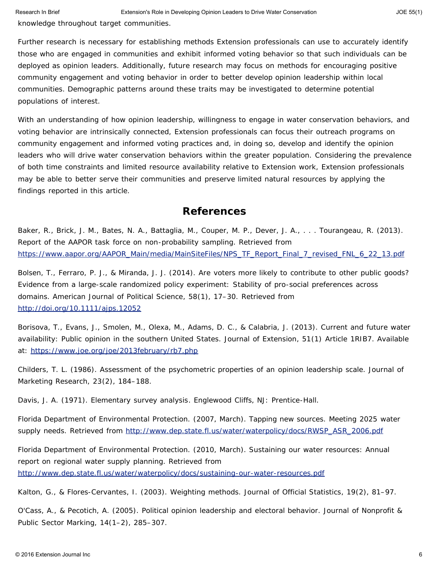knowledge throughout target communities.

Further research is necessary for establishing methods Extension professionals can use to accurately identify those who are engaged in communities and exhibit informed voting behavior so that such individuals can be deployed as opinion leaders. Additionally, future research may focus on methods for encouraging positive community engagement and voting behavior in order to better develop opinion leadership within local communities. Demographic patterns around these traits may be investigated to determine potential populations of interest.

With an understanding of how opinion leadership, willingness to engage in water conservation behaviors, and voting behavior are intrinsically connected, Extension professionals can focus their outreach programs on community engagement and informed voting practices and, in doing so, develop and identify the opinion leaders who will drive water conservation behaviors within the greater population. Considering the prevalence of both time constraints and limited resource availability relative to Extension work, Extension professionals may be able to better serve their communities and preserve limited natural resources by applying the findings reported in this article.

## **References**

Baker, R., Brick, J. M., Bates, N. A., Battaglia, M., Couper, M. P., Dever, J. A., . . . Tourangeau, R. (2013). *Report of the AAPOR task force on non-probability sampling.* Retrieved from [https://www.aapor.org/AAPOR\\_Main/media/MainSiteFiles/NPS\\_TF\\_Report\\_Final\\_7\\_revised\\_FNL\\_6\\_22\\_13.pdf](https://www.aapor.org/AAPOR_Main/media/MainSiteFiles/NPS_TF_Report_Final_7_revised_FNL_6_22_13.pdf)

Bolsen, T., Ferraro, P. J., & Miranda, J. J. (2014). Are voters more likely to contribute to other public goods? Evidence from a large-scale randomized policy experiment: Stability of pro-social preferences across domains. *American Journal of Political Science*, *58*(1), 17–30. Retrieved from <http://doi.org/10.1111/ajps.12052>

Borisova, T., Evans, J., Smolen, M., Olexa, M., Adams, D. C., & Calabria, J. (2013). Current and future water availability: Public opinion in the southern United States. *Journal of Extension*, *51*(1) Article 1RIB7. Available at: <https://www.joe.org/joe/2013february/rb7.php>

Childers, T. L. (1986). Assessment of the psychometric properties of an opinion leadership scale. *Journal of Marketing Research, 23*(2), 184–188.

Davis, J. A. (1971). *Elementary survey analysis*. Englewood Cliffs, NJ: Prentice-Hall.

Florida Department of Environmental Protection. (2007, March). *Tapping new sources. Meeting 2025 water supply needs.* Retrieved from [http://www.dep.state.fl.us/water/waterpolicy/docs/RWSP\\_ASR\\_2006.pdf](http://www.dep.state.fl.us/water/waterpolicy/docs/RWSP_ASR_2006.pdf)

Florida Department of Environmental Protection. (2010, March). *Sustaining our water resources: Annual report on regional water supply planning.* Retrieved from <http://www.dep.state.fl.us/water/waterpolicy/docs/sustaining-our-water-resources.pdf>

Kalton, G., & Flores-Cervantes, I. (2003). Weighting methods. *Journal of Official Statistics*, *19*(2), 81–97.

O'Cass, A., & Pecotich, A. (2005). Political opinion leadership and electoral behavior. *Journal of Nonprofit & Public Sector Marking*, 14(1–2), 285–307.